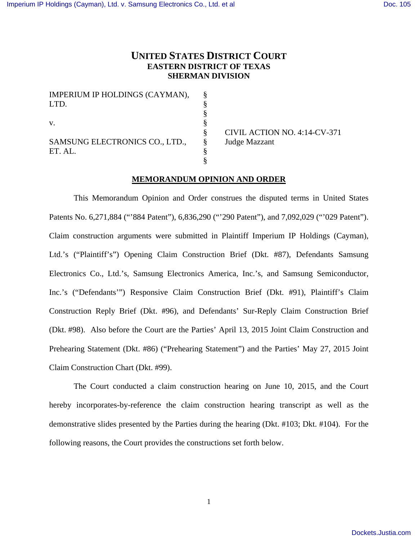# **UNITED STATES DISTRICT COURT EASTERN DISTRICT OF TEXAS SHERMAN DIVISION**

| IMPERIUM IP HOLDINGS (CAYMAN), | 8 |
|--------------------------------|---|
| LTD.                           |   |
|                                |   |
| V.                             |   |
|                                |   |
| SAMSUNG ELECTRONICS CO., LTD., | 8 |
| ET. AL.                        |   |
|                                |   |

 CIVIL ACTION NO. 4:14-CV-371 Judge Mazzant

# **MEMORANDUM OPINION AND ORDER**

 This Memorandum Opinion and Order construes the disputed terms in United States Patents No. 6,271,884 ("884 Patent"), 6,836,290 ("290 Patent"), and 7,092,029 ("029 Patent"). Claim construction arguments were submitted in Plaintiff Imperium IP Holdings (Cayman), Ltd.'s ("Plaintiff's") Opening Claim Construction Brief (Dkt. #87), Defendants Samsung Electronics Co., Ltd.'s, Samsung Electronics America, Inc.'s, and Samsung Semiconductor, Inc.'s ("Defendants'") Responsive Claim Construction Brief (Dkt. #91), Plaintiff's Claim Construction Reply Brief (Dkt. #96), and Defendants' Sur-Reply Claim Construction Brief (Dkt. #98). Also before the Court are the Parties' April 13, 2015 Joint Claim Construction and Prehearing Statement (Dkt. #86) ("Prehearing Statement") and the Parties' May 27, 2015 Joint Claim Construction Chart (Dkt. #99).

 The Court conducted a claim construction hearing on June 10, 2015, and the Court hereby incorporates-by-reference the claim construction hearing transcript as well as the demonstrative slides presented by the Parties during the hearing (Dkt. #103; Dkt. #104). For the following reasons, the Court provides the constructions set forth below.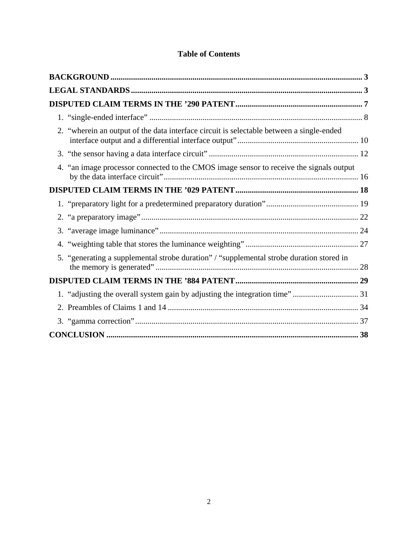| 2. "wherein an output of the data interface circuit is selectable between a single-ended |  |
|------------------------------------------------------------------------------------------|--|
|                                                                                          |  |
| 4. "an image processor connected to the CMOS image sensor to receive the signals output  |  |
|                                                                                          |  |
|                                                                                          |  |
|                                                                                          |  |
|                                                                                          |  |
|                                                                                          |  |
| 5. "generating a supplemental strobe duration" / "supplemental strobe duration stored in |  |
|                                                                                          |  |
| 1. "adjusting the overall system gain by adjusting the integration time" 31              |  |
|                                                                                          |  |
|                                                                                          |  |
|                                                                                          |  |

# **Table of Contents**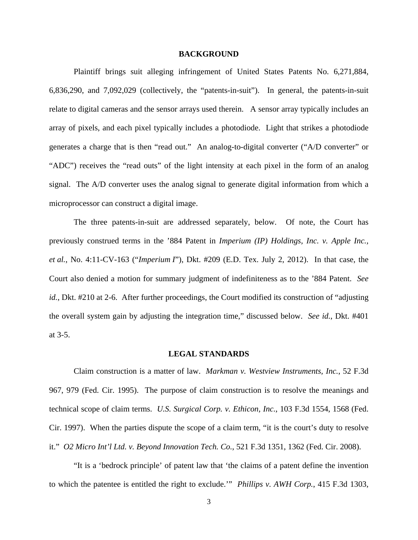#### **BACKGROUND**

 Plaintiff brings suit alleging infringement of United States Patents No. 6,271,884, 6,836,290, and 7,092,029 (collectively, the "patents-in-suit"). In general, the patents-in-suit relate to digital cameras and the sensor arrays used therein. A sensor array typically includes an array of pixels, and each pixel typically includes a photodiode. Light that strikes a photodiode generates a charge that is then "read out." An analog-to-digital converter ("A/D converter" or "ADC") receives the "read outs" of the light intensity at each pixel in the form of an analog signal. The A/D converter uses the analog signal to generate digital information from which a microprocessor can construct a digital image.

 The three patents-in-suit are addressed separately, below. Of note, the Court has previously construed terms in the '884 Patent in *Imperium (IP) Holdings, Inc. v. Apple Inc., et al.*, No. 4:11-CV-163 ("*Imperium I*"), Dkt. #209 (E.D. Tex. July 2, 2012). In that case, the Court also denied a motion for summary judgment of indefiniteness as to the '884 Patent. *See id.*, Dkt. #210 at 2-6. After further proceedings, the Court modified its construction of "adjusting" the overall system gain by adjusting the integration time," discussed below. *See id.*, Dkt. #401 at 3-5.

### **LEGAL STANDARDS**

Claim construction is a matter of law. *Markman v. Westview Instruments, Inc.*, 52 F.3d 967, 979 (Fed. Cir. 1995). The purpose of claim construction is to resolve the meanings and technical scope of claim terms. *U.S. Surgical Corp. v. Ethicon, Inc.*, 103 F.3d 1554, 1568 (Fed. Cir. 1997). When the parties dispute the scope of a claim term, "it is the court's duty to resolve it." *O2 Micro Int'l Ltd. v. Beyond Innovation Tech. Co.*, 521 F.3d 1351, 1362 (Fed. Cir. 2008).

"It is a 'bedrock principle' of patent law that 'the claims of a patent define the invention to which the patentee is entitled the right to exclude.'" *Phillips v. AWH Corp.*, 415 F.3d 1303,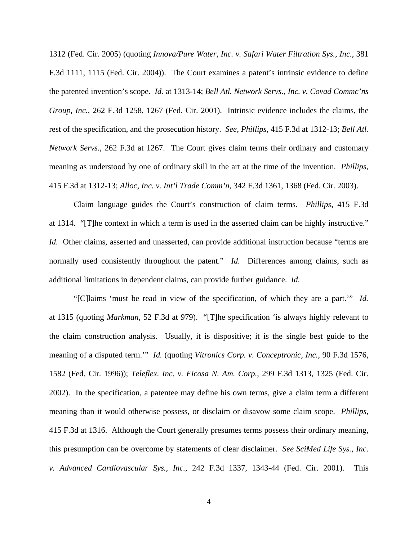1312 (Fed. Cir. 2005) (quoting *Innova/Pure Water, Inc. v. Safari Water Filtration Sys., Inc.*, 381 F.3d 1111, 1115 (Fed. Cir. 2004)). The Court examines a patent's intrinsic evidence to define the patented invention's scope. *Id.* at 1313-14; *Bell Atl. Network Servs., Inc. v. Covad Commc'ns Group, Inc.*, 262 F.3d 1258, 1267 (Fed. Cir. 2001). Intrinsic evidence includes the claims, the rest of the specification, and the prosecution history. *See, Phillips*, 415 F.3d at 1312-13; *Bell Atl. Network Servs.*, 262 F.3d at 1267. The Court gives claim terms their ordinary and customary meaning as understood by one of ordinary skill in the art at the time of the invention. *Phillips*, 415 F.3d at 1312-13; *Alloc, Inc. v. Int'l Trade Comm'n*, 342 F.3d 1361, 1368 (Fed. Cir. 2003).

Claim language guides the Court's construction of claim terms. *Phillips*, 415 F.3d at 1314. "[T]he context in which a term is used in the asserted claim can be highly instructive." *Id.* Other claims, asserted and unasserted, can provide additional instruction because "terms are normally used consistently throughout the patent." *Id.* Differences among claims, such as additional limitations in dependent claims, can provide further guidance. *Id.*

"[C]laims 'must be read in view of the specification, of which they are a part.'" *Id.* at 1315 (quoting *Markman*, 52 F.3d at 979). "[T]he specification 'is always highly relevant to the claim construction analysis. Usually, it is dispositive; it is the single best guide to the meaning of a disputed term.'" *Id.* (quoting *Vitronics Corp. v. Conceptronic, Inc.*, 90 F.3d 1576, 1582 (Fed. Cir. 1996)); *Teleflex. Inc. v. Ficosa N. Am. Corp.*, 299 F.3d 1313, 1325 (Fed. Cir. 2002). In the specification, a patentee may define his own terms, give a claim term a different meaning than it would otherwise possess, or disclaim or disavow some claim scope. *Phillips*, 415 F.3d at 1316. Although the Court generally presumes terms possess their ordinary meaning, this presumption can be overcome by statements of clear disclaimer. *See SciMed Life Sys., Inc. v. Advanced Cardiovascular Sys., Inc.*, 242 F.3d 1337, 1343-44 (Fed. Cir. 2001). This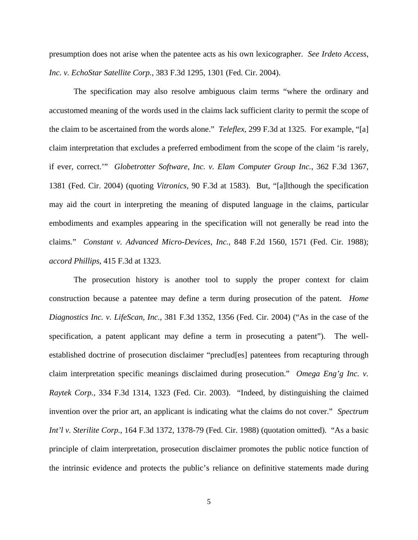presumption does not arise when the patentee acts as his own lexicographer. *See Irdeto Access, Inc. v. EchoStar Satellite Corp.*, 383 F.3d 1295, 1301 (Fed. Cir. 2004).

The specification may also resolve ambiguous claim terms "where the ordinary and accustomed meaning of the words used in the claims lack sufficient clarity to permit the scope of the claim to be ascertained from the words alone." *Teleflex*, 299 F.3d at 1325. For example, "[a] claim interpretation that excludes a preferred embodiment from the scope of the claim 'is rarely, if ever, correct.'" *Globetrotter Software, Inc. v. Elam Computer Group Inc.*, 362 F.3d 1367, 1381 (Fed. Cir. 2004) (quoting *Vitronics*, 90 F.3d at 1583). But, "[a]lthough the specification may aid the court in interpreting the meaning of disputed language in the claims, particular embodiments and examples appearing in the specification will not generally be read into the claims." *Constant v. Advanced Micro-Devices, Inc.*, 848 F.2d 1560, 1571 (Fed. Cir. 1988); *accord Phillips*, 415 F.3d at 1323.

The prosecution history is another tool to supply the proper context for claim construction because a patentee may define a term during prosecution of the patent. *Home Diagnostics Inc. v. LifeScan, Inc.*, 381 F.3d 1352, 1356 (Fed. Cir. 2004) ("As in the case of the specification, a patent applicant may define a term in prosecuting a patent"). The wellestablished doctrine of prosecution disclaimer "preclud[es] patentees from recapturing through claim interpretation specific meanings disclaimed during prosecution." *Omega Eng'g Inc. v. Raytek Corp.*, 334 F.3d 1314, 1323 (Fed. Cir. 2003). "Indeed, by distinguishing the claimed invention over the prior art, an applicant is indicating what the claims do not cover." *Spectrum Int'l v. Sterilite Corp.*, 164 F.3d 1372, 1378-79 (Fed. Cir. 1988) (quotation omitted). "As a basic principle of claim interpretation, prosecution disclaimer promotes the public notice function of the intrinsic evidence and protects the public's reliance on definitive statements made during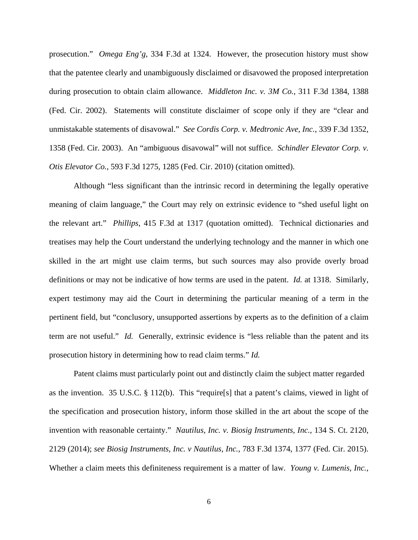prosecution." *Omega Eng'g*, 334 F.3d at 1324. However, the prosecution history must show that the patentee clearly and unambiguously disclaimed or disavowed the proposed interpretation during prosecution to obtain claim allowance. *Middleton Inc. v. 3M Co.*, 311 F.3d 1384, 1388 (Fed. Cir. 2002). Statements will constitute disclaimer of scope only if they are "clear and unmistakable statements of disavowal." *See Cordis Corp. v. Medtronic Ave, Inc.*, 339 F.3d 1352, 1358 (Fed. Cir. 2003). An "ambiguous disavowal" will not suffice. *Schindler Elevator Corp. v. Otis Elevator Co.*, 593 F.3d 1275, 1285 (Fed. Cir. 2010) (citation omitted).

 Although "less significant than the intrinsic record in determining the legally operative meaning of claim language," the Court may rely on extrinsic evidence to "shed useful light on the relevant art." *Phillips*, 415 F.3d at 1317 (quotation omitted). Technical dictionaries and treatises may help the Court understand the underlying technology and the manner in which one skilled in the art might use claim terms, but such sources may also provide overly broad definitions or may not be indicative of how terms are used in the patent. *Id.* at 1318. Similarly, expert testimony may aid the Court in determining the particular meaning of a term in the pertinent field, but "conclusory, unsupported assertions by experts as to the definition of a claim term are not useful." *Id.* Generally, extrinsic evidence is "less reliable than the patent and its prosecution history in determining how to read claim terms." *Id.*

 Patent claims must particularly point out and distinctly claim the subject matter regarded as the invention. 35 U.S.C. § 112(b). This "require[s] that a patent's claims, viewed in light of the specification and prosecution history, inform those skilled in the art about the scope of the invention with reasonable certainty." *Nautilus, Inc. v. Biosig Instruments, Inc.*, 134 S. Ct. 2120, 2129 (2014); *see Biosig Instruments, Inc. v Nautilus, Inc.*, 783 F.3d 1374, 1377 (Fed. Cir. 2015). Whether a claim meets this definiteness requirement is a matter of law. *Young v. Lumenis, Inc.*,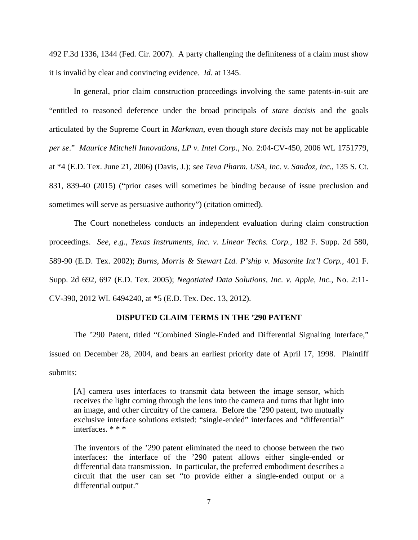492 F.3d 1336, 1344 (Fed. Cir. 2007). A party challenging the definiteness of a claim must show it is invalid by clear and convincing evidence. *Id*. at 1345.

 In general, prior claim construction proceedings involving the same patents-in-suit are "entitled to reasoned deference under the broad principals of *stare decisis* and the goals articulated by the Supreme Court in *Markman*, even though *stare decisis* may not be applicable *per se*." *Maurice Mitchell Innovations, LP v. Intel Corp.*, No. 2:04-CV-450, 2006 WL 1751779, at \*4 (E.D. Tex. June 21, 2006) (Davis, J.); *see Teva Pharm. USA, Inc. v. Sandoz, Inc.*, 135 S. Ct. 831, 839-40 (2015) ("prior cases will sometimes be binding because of issue preclusion and sometimes will serve as persuasive authority") (citation omitted).

 The Court nonetheless conducts an independent evaluation during claim construction proceedings. *See, e.g., Texas Instruments, Inc. v. Linear Techs. Corp.*, 182 F. Supp. 2d 580, 589-90 (E.D. Tex. 2002); *Burns, Morris & Stewart Ltd. P'ship v. Masonite Int'l Corp.*, 401 F. Supp. 2d 692, 697 (E.D. Tex. 2005); *Negotiated Data Solutions, Inc. v. Apple, Inc.*, No. 2:11- CV-390, 2012 WL 6494240, at \*5 (E.D. Tex. Dec. 13, 2012).

#### **DISPUTED CLAIM TERMS IN THE '290 PATENT**

 The '290 Patent, titled "Combined Single-Ended and Differential Signaling Interface," issued on December 28, 2004, and bears an earliest priority date of April 17, 1998. Plaintiff submits:

[A] camera uses interfaces to transmit data between the image sensor, which receives the light coming through the lens into the camera and turns that light into an image, and other circuitry of the camera. Before the '290 patent, two mutually exclusive interface solutions existed: "single-ended" interfaces and "differential" interfaces. \* \* \*

The inventors of the '290 patent eliminated the need to choose between the two interfaces: the interface of the '290 patent allows either single-ended or differential data transmission. In particular, the preferred embodiment describes a circuit that the user can set "to provide either a single-ended output or a differential output."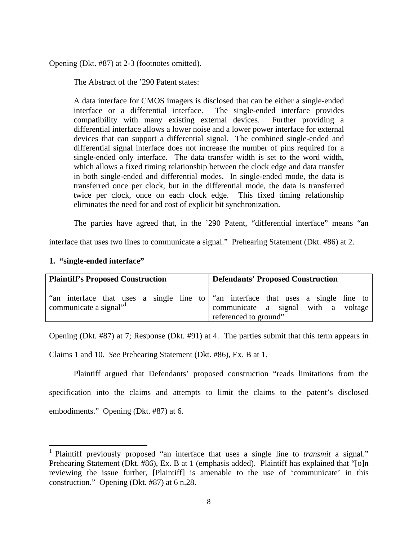Opening (Dkt. #87) at 2-3 (footnotes omitted).

The Abstract of the '290 Patent states:

A data interface for CMOS imagers is disclosed that can be either a single-ended interface or a differential interface. The single-ended interface provides compatibility with many existing external devices. Further providing a differential interface allows a lower noise and a lower power interface for external devices that can support a differential signal. The combined single-ended and differential signal interface does not increase the number of pins required for a single-ended only interface. The data transfer width is set to the word width, which allows a fixed timing relationship between the clock edge and data transfer in both single-ended and differential modes. In single-ended mode, the data is transferred once per clock, but in the differential mode, the data is transferred twice per clock, once on each clock edge. This fixed timing relationship eliminates the need for and cost of explicit bit synchronization.

The parties have agreed that, in the '290 Patent, "differential interface" means "an

interface that uses two lines to communicate a signal." Prehearing Statement (Dkt. #86) at 2.

| 1. "single-ended interface" |  |  |  |
|-----------------------------|--|--|--|
|-----------------------------|--|--|--|

 $\overline{a}$ 

| <b>Plaintiff's Proposed Construction</b> |                                                                                   |  |  |  |  |                                     | <b>Defendants' Proposed Construction</b> |                       |  |  |  |  |
|------------------------------------------|-----------------------------------------------------------------------------------|--|--|--|--|-------------------------------------|------------------------------------------|-----------------------|--|--|--|--|
|                                          | "an interface that uses a single line to "an interface that uses a single line to |  |  |  |  |                                     |                                          |                       |  |  |  |  |
| communicate a signal"                    |                                                                                   |  |  |  |  | communicate a signal with a voltage |                                          |                       |  |  |  |  |
|                                          |                                                                                   |  |  |  |  |                                     |                                          | referenced to ground" |  |  |  |  |

Opening (Dkt. #87) at 7; Response (Dkt. #91) at 4. The parties submit that this term appears in

Claims 1 and 10. *See* Prehearing Statement (Dkt. #86), Ex. B at 1.

 Plaintiff argued that Defendants' proposed construction "reads limitations from the specification into the claims and attempts to limit the claims to the patent's disclosed embodiments." Opening (Dkt. #87) at 6.

<sup>&</sup>lt;sup>1</sup> Plaintiff previously proposed "an interface that uses a single line to *transmit* a signal." Prehearing Statement (Dkt. #86), Ex. B at 1 (emphasis added). Plaintiff has explained that "[o]n reviewing the issue further, [Plaintiff] is amenable to the use of 'communicate' in this construction." Opening (Dkt. #87) at 6 n.28.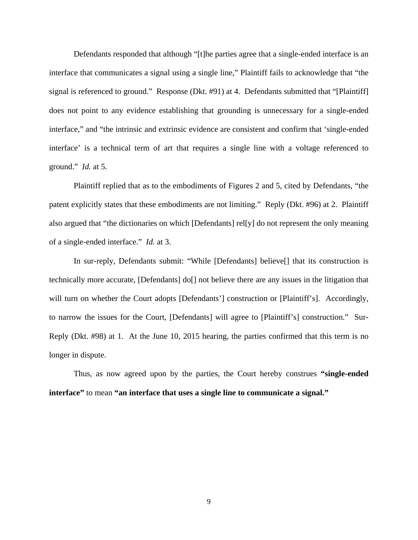Defendants responded that although "[t]he parties agree that a single-ended interface is an interface that communicates a signal using a single line," Plaintiff fails to acknowledge that "the signal is referenced to ground." Response (Dkt. #91) at 4. Defendants submitted that "[Plaintiff] does not point to any evidence establishing that grounding is unnecessary for a single-ended interface," and "the intrinsic and extrinsic evidence are consistent and confirm that 'single-ended interface' is a technical term of art that requires a single line with a voltage referenced to ground." *Id.* at 5.

 Plaintiff replied that as to the embodiments of Figures 2 and 5, cited by Defendants, "the patent explicitly states that these embodiments are not limiting." Reply (Dkt. #96) at 2. Plaintiff also argued that "the dictionaries on which [Defendants] rel[y] do not represent the only meaning of a single-ended interface." *Id.* at 3.

 In sur-reply, Defendants submit: "While [Defendants] believe[] that its construction is technically more accurate, [Defendants] do[] not believe there are any issues in the litigation that will turn on whether the Court adopts [Defendants'] construction or [Plaintiff's]. Accordingly, to narrow the issues for the Court, [Defendants] will agree to [Plaintiff's] construction." Sur-Reply (Dkt. #98) at 1. At the June 10, 2015 hearing, the parties confirmed that this term is no longer in dispute.

 Thus, as now agreed upon by the parties, the Court hereby construes **"single-ended interface"** to mean **"an interface that uses a single line to communicate a signal."**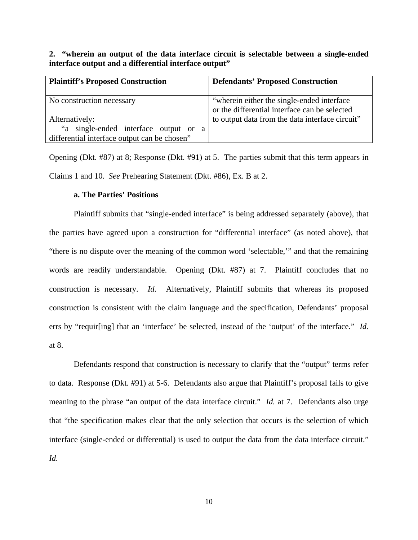**2. "wherein an output of the data interface circuit is selectable between a single-ended interface output and a differential interface output"** 

| <b>Plaintiff's Proposed Construction</b>                                              | <b>Defendants' Proposed Construction</b>                                                                                                        |
|---------------------------------------------------------------------------------------|-------------------------------------------------------------------------------------------------------------------------------------------------|
| No construction necessary<br>Alternatively:                                           | "wherein either the single-ended interface"<br>or the differential interface can be selected<br>to output data from the data interface circuit" |
| "a single-ended interface output or a<br>differential interface output can be chosen" |                                                                                                                                                 |

Opening (Dkt. #87) at 8; Response (Dkt. #91) at 5. The parties submit that this term appears in Claims 1 and 10. *See* Prehearing Statement (Dkt. #86), Ex. B at 2.

### **a. The Parties' Positions**

 Plaintiff submits that "single-ended interface" is being addressed separately (above), that the parties have agreed upon a construction for "differential interface" (as noted above), that "there is no dispute over the meaning of the common word 'selectable,'" and that the remaining words are readily understandable. Opening (Dkt. #87) at 7. Plaintiff concludes that no construction is necessary. *Id.* Alternatively, Plaintiff submits that whereas its proposed construction is consistent with the claim language and the specification, Defendants' proposal errs by "requir[ing] that an 'interface' be selected, instead of the 'output' of the interface." *Id.* at 8.

 Defendants respond that construction is necessary to clarify that the "output" terms refer to data. Response (Dkt. #91) at 5-6. Defendants also argue that Plaintiff's proposal fails to give meaning to the phrase "an output of the data interface circuit." *Id.* at 7. Defendants also urge that "the specification makes clear that the only selection that occurs is the selection of which interface (single-ended or differential) is used to output the data from the data interface circuit."

*Id.*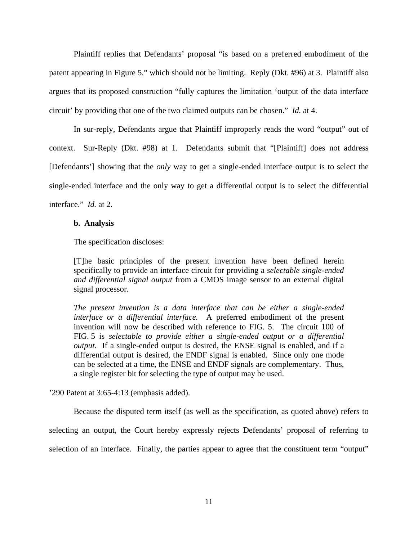Plaintiff replies that Defendants' proposal "is based on a preferred embodiment of the patent appearing in Figure 5," which should not be limiting. Reply (Dkt. #96) at 3. Plaintiff also argues that its proposed construction "fully captures the limitation 'output of the data interface circuit' by providing that one of the two claimed outputs can be chosen." *Id.* at 4.

 In sur-reply, Defendants argue that Plaintiff improperly reads the word "output" out of context. Sur-Reply (Dkt. #98) at 1. Defendants submit that "[Plaintiff] does not address [Defendants'] showing that the *only* way to get a single-ended interface output is to select the single-ended interface and the only way to get a differential output is to select the differential interface." *Id.* at 2.

#### **b. Analysis**

The specification discloses:

[T]he basic principles of the present invention have been defined herein specifically to provide an interface circuit for providing a *selectable single-ended and differential signal output* from a CMOS image sensor to an external digital signal processor.

*The present invention is a data interface that can be either a single-ended interface or a differential interface.* A preferred embodiment of the present invention will now be described with reference to FIG. 5. The circuit 100 of FIG. 5 is *selectable to provide either a single-ended output or a differential output*. If a single-ended output is desired, the ENSE signal is enabled, and if a differential output is desired, the ENDF signal is enabled. Since only one mode can be selected at a time, the ENSE and ENDF signals are complementary. Thus, a single register bit for selecting the type of output may be used.

'290 Patent at 3:65-4:13 (emphasis added).

 Because the disputed term itself (as well as the specification, as quoted above) refers to selecting an output, the Court hereby expressly rejects Defendants' proposal of referring to selection of an interface. Finally, the parties appear to agree that the constituent term "output"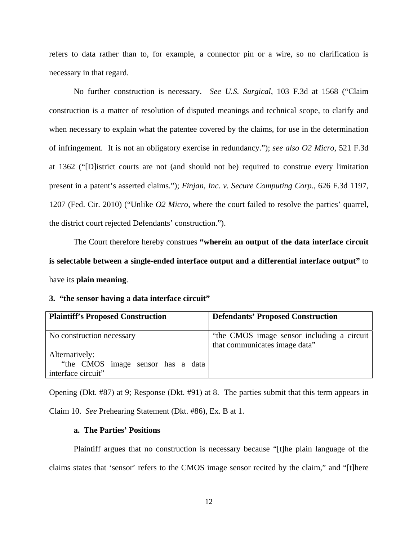refers to data rather than to, for example, a connector pin or a wire, so no clarification is necessary in that regard.

 No further construction is necessary. *See U.S. Surgical*, 103 F.3d at 1568 ("Claim construction is a matter of resolution of disputed meanings and technical scope, to clarify and when necessary to explain what the patentee covered by the claims, for use in the determination of infringement. It is not an obligatory exercise in redundancy."); *see also O2 Micro*, 521 F.3d at 1362 ("[D]istrict courts are not (and should not be) required to construe every limitation present in a patent's asserted claims."); *Finjan, Inc. v. Secure Computing Corp.*, 626 F.3d 1197, 1207 (Fed. Cir. 2010) ("Unlike *O2 Micro*, where the court failed to resolve the parties' quarrel, the district court rejected Defendants' construction.").

 The Court therefore hereby construes **"wherein an output of the data interface circuit is selectable between a single-ended interface output and a differential interface output"** to have its **plain meaning**.

# **3. "the sensor having a data interface circuit"**

| <b>Plaintiff's Proposed Construction</b>                                  | <b>Defendants' Proposed Construction</b>                                    |
|---------------------------------------------------------------------------|-----------------------------------------------------------------------------|
| No construction necessary                                                 | "the CMOS image sensor including a circuit<br>that communicates image data" |
| Alternatively:<br>"the CMOS image sensor has a data<br>interface circuit" |                                                                             |

Opening (Dkt. #87) at 9; Response (Dkt. #91) at 8. The parties submit that this term appears in Claim 10. *See* Prehearing Statement (Dkt. #86), Ex. B at 1.

## **a. The Parties' Positions**

 Plaintiff argues that no construction is necessary because "[t]he plain language of the claims states that 'sensor' refers to the CMOS image sensor recited by the claim," and "[t]here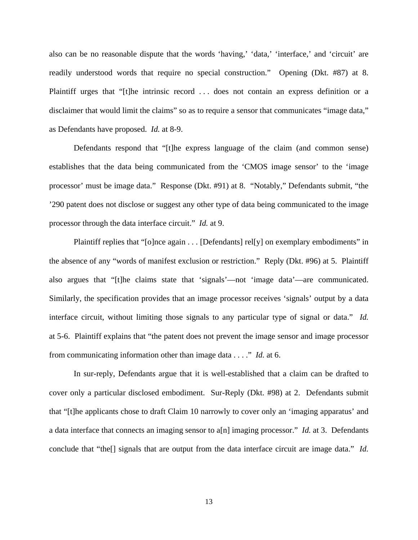also can be no reasonable dispute that the words 'having,' 'data,' 'interface,' and 'circuit' are readily understood words that require no special construction." Opening (Dkt. #87) at 8. Plaintiff urges that "[t]he intrinsic record ... does not contain an express definition or a disclaimer that would limit the claims" so as to require a sensor that communicates "image data," as Defendants have proposed. *Id.* at 8-9.

 Defendants respond that "[t]he express language of the claim (and common sense) establishes that the data being communicated from the 'CMOS image sensor' to the 'image processor' must be image data." Response (Dkt. #91) at 8. "Notably," Defendants submit, "the '290 patent does not disclose or suggest any other type of data being communicated to the image processor through the data interface circuit." *Id.* at 9.

Plaintiff replies that "[o]nce again . . . [Defendants] rel[y] on exemplary embodiments" in the absence of any "words of manifest exclusion or restriction." Reply (Dkt. #96) at 5. Plaintiff also argues that "[t]he claims state that 'signals'—not 'image data'—are communicated. Similarly, the specification provides that an image processor receives 'signals' output by a data interface circuit, without limiting those signals to any particular type of signal or data." *Id.* at 5-6. Plaintiff explains that "the patent does not prevent the image sensor and image processor from communicating information other than image data . . . ." *Id.* at 6.

 In sur-reply, Defendants argue that it is well-established that a claim can be drafted to cover only a particular disclosed embodiment. Sur-Reply (Dkt. #98) at 2. Defendants submit that "[t]he applicants chose to draft Claim 10 narrowly to cover only an 'imaging apparatus' and a data interface that connects an imaging sensor to a[n] imaging processor." *Id.* at 3. Defendants conclude that "the[] signals that are output from the data interface circuit are image data." *Id.*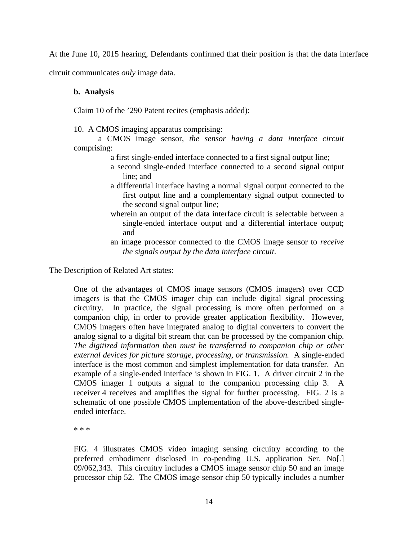At the June 10, 2015 hearing, Defendants confirmed that their position is that the data interface

circuit communicates *only* image data.

# **b. Analysis**

Claim 10 of the '290 Patent recites (emphasis added):

10. A CMOS imaging apparatus comprising:

 a CMOS image sensor, *the sensor having a data interface circuit* comprising:

- a first single-ended interface connected to a first signal output line;
- a second single-ended interface connected to a second signal output line; and
- a differential interface having a normal signal output connected to the first output line and a complementary signal output connected to the second signal output line;
- wherein an output of the data interface circuit is selectable between a single-ended interface output and a differential interface output; and
- an image processor connected to the CMOS image sensor to *receive the signals output by the data interface circuit*.

The Description of Related Art states:

One of the advantages of CMOS image sensors (CMOS imagers) over CCD imagers is that the CMOS imager chip can include digital signal processing circuitry. In practice, the signal processing is more often performed on a companion chip, in order to provide greater application flexibility. However, CMOS imagers often have integrated analog to digital converters to convert the analog signal to a digital bit stream that can be processed by the companion chip. *The digitized information then must be transferred to companion chip or other external devices for picture storage, processing, or transmission.* A single-ended interface is the most common and simplest implementation for data transfer. An example of a single-ended interface is shown in FIG. 1. A driver circuit 2 in the CMOS imager 1 outputs a signal to the companion processing chip 3. A receiver 4 receives and amplifies the signal for further processing. FIG. 2 is a schematic of one possible CMOS implementation of the above-described singleended interface.

\* \* \*

FIG. 4 illustrates CMOS video imaging sensing circuitry according to the preferred embodiment disclosed in co-pending U.S. application Ser. No[.] 09/062,343. This circuitry includes a CMOS image sensor chip 50 and an image processor chip 52. The CMOS image sensor chip 50 typically includes a number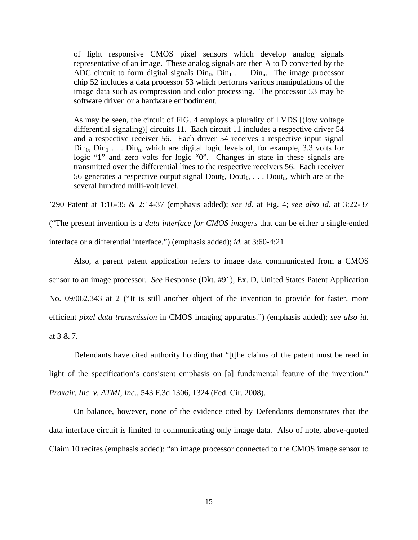of light responsive CMOS pixel sensors which develop analog signals representative of an image. These analog signals are then A to D converted by the ADC circuit to form digital signals  $D_{n0}$ ,  $D_{n1}$ ...  $D_{n0}$ . The image processor chip 52 includes a data processor 53 which performs various manipulations of the image data such as compression and color processing. The processor 53 may be software driven or a hardware embodiment.

As may be seen, the circuit of FIG. 4 employs a plurality of LVDS [(low voltage differential signaling)] circuits 11. Each circuit 11 includes a respective driver 54 and a respective receiver 56. Each driver 54 receives a respective input signal  $Din_0$ ,  $Din_1$ ...  $Din_n$ , which are digital logic levels of, for example, 3.3 volts for logic "1" and zero volts for logic "0". Changes in state in these signals are transmitted over the differential lines to the respective receivers 56. Each receiver 56 generates a respective output signal  $Dout_0$ ,  $Dout_1$ , ...  $Dout_n$ , which are at the several hundred milli-volt level.

'290 Patent at 1:16-35 & 2:14-37 (emphasis added); *see id.* at Fig. 4; *see also id.* at 3:22-37

("The present invention is a *data interface for CMOS imagers* that can be either a single-ended interface or a differential interface.") (emphasis added); *id.* at 3:60-4:21.

 Also, a parent patent application refers to image data communicated from a CMOS sensor to an image processor. *See* Response (Dkt. #91), Ex. D, United States Patent Application No. 09/062,343 at 2 ("It is still another object of the invention to provide for faster, more efficient *pixel data transmission* in CMOS imaging apparatus.") (emphasis added); *see also id.* at 3 & 7.

 Defendants have cited authority holding that "[t]he claims of the patent must be read in light of the specification's consistent emphasis on [a] fundamental feature of the invention." *Praxair, Inc. v. ATMI, Inc.*, 543 F.3d 1306, 1324 (Fed. Cir. 2008).

 On balance, however, none of the evidence cited by Defendants demonstrates that the data interface circuit is limited to communicating only image data. Also of note, above-quoted Claim 10 recites (emphasis added): "an image processor connected to the CMOS image sensor to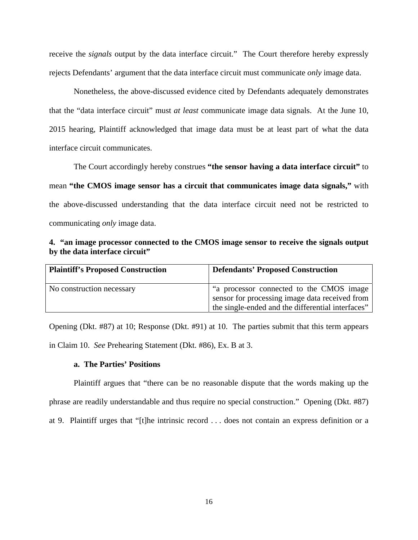receive the *signals* output by the data interface circuit." The Court therefore hereby expressly rejects Defendants' argument that the data interface circuit must communicate *only* image data.

 Nonetheless, the above-discussed evidence cited by Defendants adequately demonstrates that the "data interface circuit" must *at least* communicate image data signals. At the June 10, 2015 hearing, Plaintiff acknowledged that image data must be at least part of what the data interface circuit communicates.

 The Court accordingly hereby construes **"the sensor having a data interface circuit"** to mean **"the CMOS image sensor has a circuit that communicates image data signals,"** with the above-discussed understanding that the data interface circuit need not be restricted to communicating *only* image data.

**4. "an image processor connected to the CMOS image sensor to receive the signals output by the data interface circuit"** 

| <b>Plaintiff's Proposed Construction</b> | <b>Defendants' Proposed Construction</b>                                                  |
|------------------------------------------|-------------------------------------------------------------------------------------------|
| No construction necessary                | a processor connected to the CMOS image<br>sensor for processing image data received from |
|                                          | the single-ended and the differential interfaces"                                         |

Opening (Dkt. #87) at 10; Response (Dkt. #91) at 10. The parties submit that this term appears in Claim 10. *See* Prehearing Statement (Dkt. #86), Ex. B at 3.

# **a. The Parties' Positions**

 Plaintiff argues that "there can be no reasonable dispute that the words making up the phrase are readily understandable and thus require no special construction." Opening (Dkt. #87) at 9. Plaintiff urges that "[t]he intrinsic record . . . does not contain an express definition or a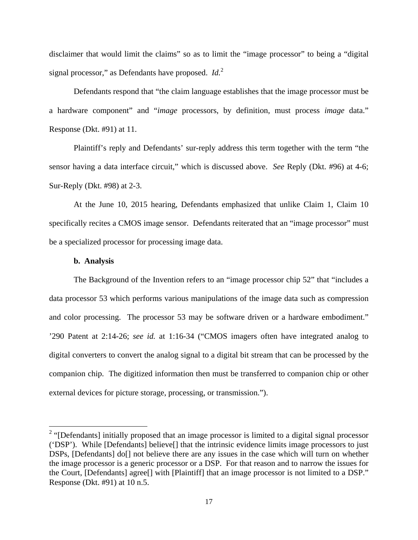disclaimer that would limit the claims" so as to limit the "image processor" to being a "digital signal processor," as Defendants have proposed. *Id.*<sup>2</sup>

 Defendants respond that "the claim language establishes that the image processor must be a hardware component" and "*image* processors, by definition, must process *image* data." Response (Dkt. #91) at 11.

 Plaintiff's reply and Defendants' sur-reply address this term together with the term "the sensor having a data interface circuit," which is discussed above. *See* Reply (Dkt. #96) at 4-6; Sur-Reply (Dkt. #98) at 2-3.

 At the June 10, 2015 hearing, Defendants emphasized that unlike Claim 1, Claim 10 specifically recites a CMOS image sensor. Defendants reiterated that an "image processor" must be a specialized processor for processing image data.

### **b. Analysis**

<u>.</u>

 The Background of the Invention refers to an "image processor chip 52" that "includes a data processor 53 which performs various manipulations of the image data such as compression and color processing. The processor 53 may be software driven or a hardware embodiment." '290 Patent at 2:14-26; *see id.* at 1:16-34 ("CMOS imagers often have integrated analog to digital converters to convert the analog signal to a digital bit stream that can be processed by the companion chip. The digitized information then must be transferred to companion chip or other external devices for picture storage, processing, or transmission.").

 $2$  "[Defendants] initially proposed that an image processor is limited to a digital signal processor ('DSP'). While [Defendants] believe[] that the intrinsic evidence limits image processors to just DSPs, [Defendants] do<sup>[]</sup> not believe there are any issues in the case which will turn on whether the image processor is a generic processor or a DSP. For that reason and to narrow the issues for the Court, [Defendants] agree[] with [Plaintiff] that an image processor is not limited to a DSP." Response (Dkt. #91) at 10 n.5.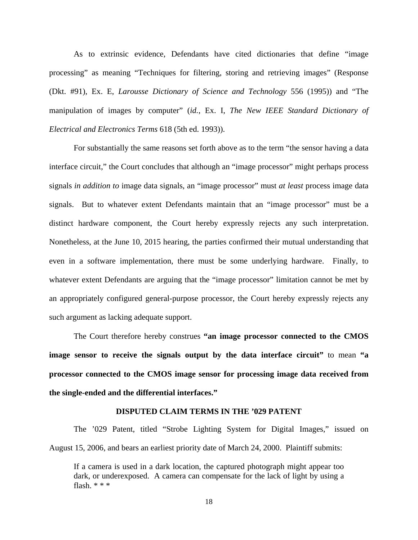As to extrinsic evidence, Defendants have cited dictionaries that define "image processing" as meaning "Techniques for filtering, storing and retrieving images" (Response (Dkt. #91), Ex. E, *Larousse Dictionary of Science and Technology* 556 (1995)) and "The manipulation of images by computer" (*id.*, Ex. I, *The New IEEE Standard Dictionary of Electrical and Electronics Terms* 618 (5th ed. 1993)).

 For substantially the same reasons set forth above as to the term "the sensor having a data interface circuit," the Court concludes that although an "image processor" might perhaps process signals *in addition to* image data signals, an "image processor" must *at least* process image data signals. But to whatever extent Defendants maintain that an "image processor" must be a distinct hardware component, the Court hereby expressly rejects any such interpretation. Nonetheless, at the June 10, 2015 hearing, the parties confirmed their mutual understanding that even in a software implementation, there must be some underlying hardware. Finally, to whatever extent Defendants are arguing that the "image processor" limitation cannot be met by an appropriately configured general-purpose processor, the Court hereby expressly rejects any such argument as lacking adequate support.

 The Court therefore hereby construes **"an image processor connected to the CMOS image sensor to receive the signals output by the data interface circuit"** to mean "a **processor connected to the CMOS image sensor for processing image data received from the single-ended and the differential interfaces."**

#### **DISPUTED CLAIM TERMS IN THE '029 PATENT**

 The '029 Patent, titled "Strobe Lighting System for Digital Images," issued on August 15, 2006, and bears an earliest priority date of March 24, 2000. Plaintiff submits:

If a camera is used in a dark location, the captured photograph might appear too dark, or underexposed. A camera can compensate for the lack of light by using a flash. \* \* \*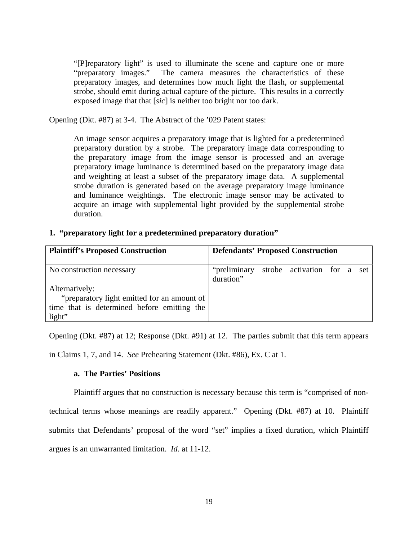"[P]reparatory light" is used to illuminate the scene and capture one or more "preparatory images." The camera measures the characteristics of these preparatory images, and determines how much light the flash, or supplemental strobe, should emit during actual capture of the picture. This results in a correctly exposed image that that [*sic*] is neither too bright nor too dark.

Opening (Dkt. #87) at 3-4. The Abstract of the '029 Patent states:

An image sensor acquires a preparatory image that is lighted for a predetermined preparatory duration by a strobe. The preparatory image data corresponding to the preparatory image from the image sensor is processed and an average preparatory image luminance is determined based on the preparatory image data and weighting at least a subset of the preparatory image data. A supplemental strobe duration is generated based on the average preparatory image luminance and luminance weightings. The electronic image sensor may be activated to acquire an image with supplemental light provided by the supplemental strobe duration.

### **1. "preparatory light for a predetermined preparatory duration"**

| <b>Plaintiff's Proposed Construction</b>    | <b>Defendants' Proposed Construction</b> |                             |  |  |
|---------------------------------------------|------------------------------------------|-----------------------------|--|--|
| No construction necessary                   | "preliminary"<br>duration"               | strobe activation for a set |  |  |
| Alternatively:                              |                                          |                             |  |  |
| "preparatory light emitted for an amount of |                                          |                             |  |  |
| time that is determined before emitting the |                                          |                             |  |  |
| light"                                      |                                          |                             |  |  |

Opening (Dkt. #87) at 12; Response (Dkt. #91) at 12. The parties submit that this term appears

in Claims 1, 7, and 14. *See* Prehearing Statement (Dkt. #86), Ex. C at 1.

### **a. The Parties' Positions**

 Plaintiff argues that no construction is necessary because this term is "comprised of nontechnical terms whose meanings are readily apparent." Opening (Dkt. #87) at 10. Plaintiff submits that Defendants' proposal of the word "set" implies a fixed duration, which Plaintiff argues is an unwarranted limitation. *Id.* at 11-12.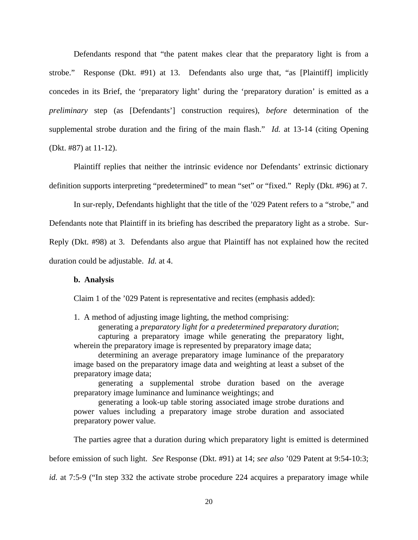Defendants respond that "the patent makes clear that the preparatory light is from a strobe." Response (Dkt. #91) at 13. Defendants also urge that, "as [Plaintiff] implicitly concedes in its Brief, the 'preparatory light' during the 'preparatory duration' is emitted as a *preliminary* step (as [Defendants'] construction requires), *before* determination of the supplemental strobe duration and the firing of the main flash." *Id.* at 13-14 (citing Opening (Dkt. #87) at 11-12).

 Plaintiff replies that neither the intrinsic evidence nor Defendants' extrinsic dictionary definition supports interpreting "predetermined" to mean "set" or "fixed." Reply (Dkt. #96) at 7.

 In sur-reply, Defendants highlight that the title of the '029 Patent refers to a "strobe," and Defendants note that Plaintiff in its briefing has described the preparatory light as a strobe. Sur-Reply (Dkt. #98) at 3. Defendants also argue that Plaintiff has not explained how the recited duration could be adjustable. *Id.* at 4.

#### **b. Analysis**

Claim 1 of the '029 Patent is representative and recites (emphasis added):

1. A method of adjusting image lighting, the method comprising: generating a *preparatory light for a predetermined preparatory duration*; capturing a preparatory image while generating the preparatory light, wherein the preparatory image is represented by preparatory image data;

 determining an average preparatory image luminance of the preparatory image based on the preparatory image data and weighting at least a subset of the preparatory image data;

 generating a supplemental strobe duration based on the average preparatory image luminance and luminance weightings; and

 generating a look-up table storing associated image strobe durations and power values including a preparatory image strobe duration and associated preparatory power value.

 The parties agree that a duration during which preparatory light is emitted is determined before emission of such light. *See* Response (Dkt. #91) at 14; *see also* '029 Patent at 9:54-10:3; *id.* at 7:5-9 ("In step 332 the activate strobe procedure 224 acquires a preparatory image while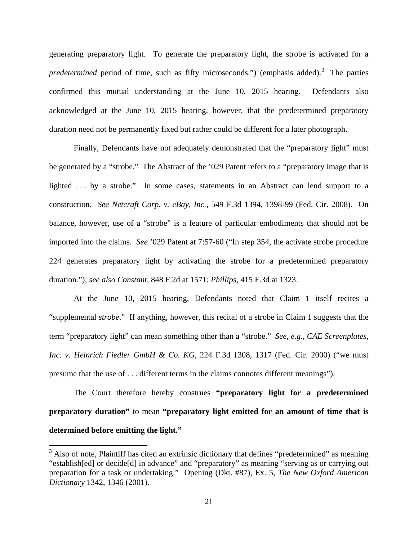generating preparatory light. To generate the preparatory light, the strobe is activated for a predetermined period of time, such as fifty microseconds.") (emphasis added).<sup>3</sup> The parties confirmed this mutual understanding at the June 10, 2015 hearing. Defendants also acknowledged at the June 10, 2015 hearing, however, that the predetermined preparatory duration need not be permanently fixed but rather could be different for a later photograph.

 Finally, Defendants have not adequately demonstrated that the "preparatory light" must be generated by a "strobe." The Abstract of the '029 Patent refers to a "preparatory image that is lighted . . . by a strobe." In some cases, statements in an Abstract can lend support to a construction. *See Netcraft Corp. v. eBay, Inc.*, 549 F.3d 1394, 1398-99 (Fed. Cir. 2008). On balance, however, use of a "strobe" is a feature of particular embodiments that should not be imported into the claims. *See* '029 Patent at 7:57-60 ("In step 354, the activate strobe procedure 224 generates preparatory light by activating the strobe for a predetermined preparatory duration."); *see also Constant*, 848 F.2d at 1571; *Phillips*, 415 F.3d at 1323.

 At the June 10, 2015 hearing, Defendants noted that Claim 1 itself recites a "supplemental *strobe*." If anything, however, this recital of a strobe in Claim 1 suggests that the term "preparatory light" can mean something other than a "strobe." *See, e.g., CAE Screenplates, Inc. v. Heinrich Fiedler GmbH & Co. KG*, 224 F.3d 1308, 1317 (Fed. Cir. 2000) ("we must presume that the use of . . . different terms in the claims connotes different meanings").

 The Court therefore hereby construes **"preparatory light for a predetermined preparatory duration"** to mean **"preparatory light emitted for an amount of time that is determined before emitting the light."**

 $\overline{a}$ 

 $3$  Also of note, Plaintiff has cited an extrinsic dictionary that defines "predetermined" as meaning "establish[ed] or decide[d] in advance" and "preparatory" as meaning "serving as or carrying out preparation for a task or undertaking." Opening (Dkt. #87), Ex. 5, *The New Oxford American Dictionary* 1342, 1346 (2001).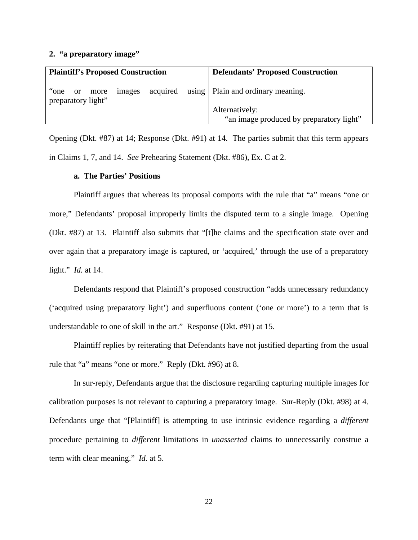### **2. "a preparatory image"**

|       |  |                               | <b>Plaintiff's Proposed Construction</b> |  | <b>Defendants' Proposed Construction</b> |                                              |
|-------|--|-------------------------------|------------------------------------------|--|------------------------------------------|----------------------------------------------|
| "one" |  | or more<br>preparatory light" | images                                   |  |                                          | acquired using   Plain and ordinary meaning. |
|       |  |                               |                                          |  | Alternatively:                           |                                              |
|       |  |                               |                                          |  |                                          | "an image produced by preparatory light"     |

Opening (Dkt. #87) at 14; Response (Dkt. #91) at 14. The parties submit that this term appears in Claims 1, 7, and 14. *See* Prehearing Statement (Dkt. #86), Ex. C at 2.

# **a. The Parties' Positions**

 Plaintiff argues that whereas its proposal comports with the rule that "a" means "one or more," Defendants' proposal improperly limits the disputed term to a single image. Opening (Dkt. #87) at 13. Plaintiff also submits that "[t]he claims and the specification state over and over again that a preparatory image is captured, or 'acquired,' through the use of a preparatory light." *Id.* at 14.

 Defendants respond that Plaintiff's proposed construction "adds unnecessary redundancy ('acquired using preparatory light') and superfluous content ('one or more') to a term that is understandable to one of skill in the art." Response (Dkt. #91) at 15.

 Plaintiff replies by reiterating that Defendants have not justified departing from the usual rule that "a" means "one or more." Reply (Dkt. #96) at 8.

 In sur-reply, Defendants argue that the disclosure regarding capturing multiple images for calibration purposes is not relevant to capturing a preparatory image. Sur-Reply (Dkt. #98) at 4. Defendants urge that "[Plaintiff] is attempting to use intrinsic evidence regarding a *different* procedure pertaining to *different* limitations in *unasserted* claims to unnecessarily construe a term with clear meaning." *Id.* at 5.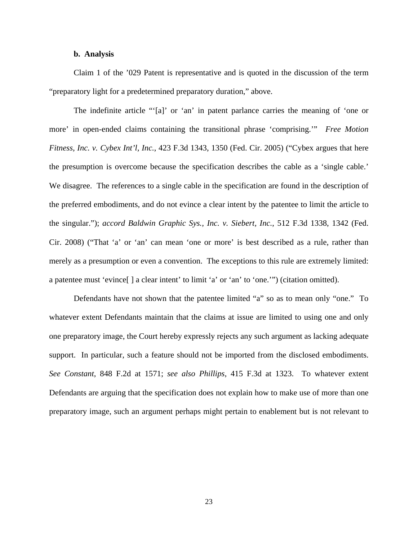### **b. Analysis**

 Claim 1 of the '029 Patent is representative and is quoted in the discussion of the term "preparatory light for a predetermined preparatory duration," above.

The indefinite article "'[a]' or 'an' in patent parlance carries the meaning of 'one or more' in open-ended claims containing the transitional phrase 'comprising.'" *Free Motion Fitness, Inc. v. Cybex Int'l, Inc.*, 423 F.3d 1343, 1350 (Fed. Cir. 2005) ("Cybex argues that here the presumption is overcome because the specification describes the cable as a 'single cable.' We disagree. The references to a single cable in the specification are found in the description of the preferred embodiments, and do not evince a clear intent by the patentee to limit the article to the singular."); *accord Baldwin Graphic Sys., Inc. v. Siebert, Inc.*, 512 F.3d 1338, 1342 (Fed. Cir. 2008) ("That 'a' or 'an' can mean 'one or more' is best described as a rule, rather than merely as a presumption or even a convention. The exceptions to this rule are extremely limited: a patentee must 'evince[ ] a clear intent' to limit 'a' or 'an' to 'one.'") (citation omitted).

 Defendants have not shown that the patentee limited "a" so as to mean only "one." To whatever extent Defendants maintain that the claims at issue are limited to using one and only one preparatory image, the Court hereby expressly rejects any such argument as lacking adequate support. In particular, such a feature should not be imported from the disclosed embodiments. *See Constant*, 848 F.2d at 1571; *see also Phillips*, 415 F.3d at 1323. To whatever extent Defendants are arguing that the specification does not explain how to make use of more than one preparatory image, such an argument perhaps might pertain to enablement but is not relevant to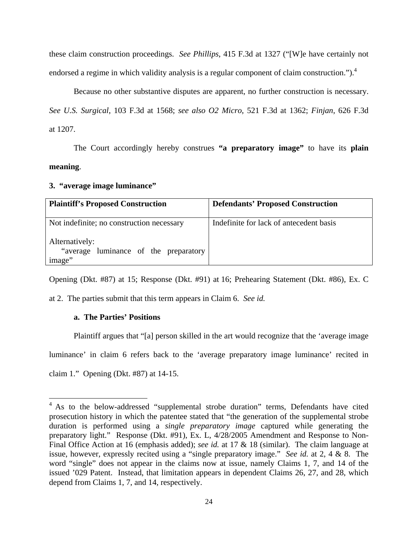these claim construction proceedings. *See Phillips*, 415 F.3d at 1327 ("[W]e have certainly not endorsed a regime in which validity analysis is a regular component of claim construction.").<sup>4</sup>

 Because no other substantive disputes are apparent, no further construction is necessary. *See U.S. Surgical*, 103 F.3d at 1568; *see also O2 Micro*, 521 F.3d at 1362; *Finjan*, 626 F.3d at 1207.

 The Court accordingly hereby construes **"a preparatory image"** to have its **plain meaning**.

**3. "average image luminance"** 

| <b>Plaintiff's Proposed Construction</b>                           | <b>Defendants' Proposed Construction</b> |
|--------------------------------------------------------------------|------------------------------------------|
| Not indefinite; no construction necessary                          | Indefinite for lack of antecedent basis  |
| Alternatively:<br>"average luminance of the preparatory"<br>image" |                                          |

Opening (Dkt. #87) at 15; Response (Dkt. #91) at 16; Prehearing Statement (Dkt. #86), Ex. C

at 2. The parties submit that this term appears in Claim 6. *See id.*

### **a. The Parties' Positions**

 Plaintiff argues that "[a] person skilled in the art would recognize that the 'average image luminance' in claim 6 refers back to the 'average preparatory image luminance' recited in claim 1." Opening (Dkt. #87) at 14-15.

<sup>&</sup>lt;sup>4</sup> As to the below-addressed "supplemental strobe duration" terms, Defendants have cited prosecution history in which the patentee stated that "the generation of the supplemental strobe duration is performed using a *single preparatory image* captured while generating the preparatory light." Response (Dkt. #91), Ex. L, 4/28/2005 Amendment and Response to Non-Final Office Action at 16 (emphasis added); *see id.* at 17 & 18 (similar). The claim language at issue, however, expressly recited using a "single preparatory image." *See id.* at 2, 4 & 8. The word "single" does not appear in the claims now at issue, namely Claims 1, 7, and 14 of the issued '029 Patent. Instead, that limitation appears in dependent Claims 26, 27, and 28, which depend from Claims 1, 7, and 14, respectively.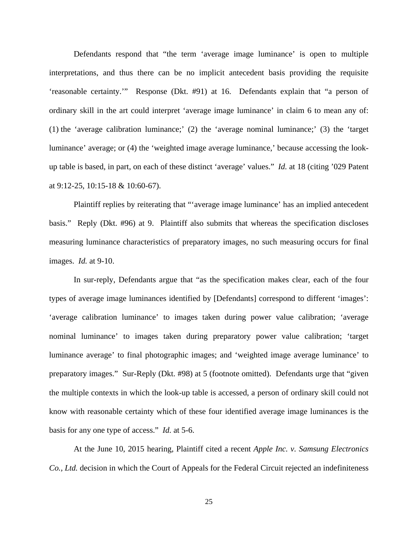Defendants respond that "the term 'average image luminance' is open to multiple interpretations, and thus there can be no implicit antecedent basis providing the requisite 'reasonable certainty.'" Response (Dkt. #91) at 16. Defendants explain that "a person of ordinary skill in the art could interpret 'average image luminance' in claim 6 to mean any of: (1) the 'average calibration luminance;' (2) the 'average nominal luminance;' (3) the 'target luminance' average; or (4) the 'weighted image average luminance,' because accessing the lookup table is based, in part, on each of these distinct 'average' values." *Id.* at 18 (citing '029 Patent at 9:12-25, 10:15-18 & 10:60-67).

 Plaintiff replies by reiterating that "'average image luminance' has an implied antecedent basis." Reply (Dkt. #96) at 9. Plaintiff also submits that whereas the specification discloses measuring luminance characteristics of preparatory images, no such measuring occurs for final images. *Id.* at 9-10.

 In sur-reply, Defendants argue that "as the specification makes clear, each of the four types of average image luminances identified by [Defendants] correspond to different 'images': 'average calibration luminance' to images taken during power value calibration; 'average nominal luminance' to images taken during preparatory power value calibration; 'target luminance average' to final photographic images; and 'weighted image average luminance' to preparatory images." Sur-Reply (Dkt. #98) at 5 (footnote omitted). Defendants urge that "given the multiple contexts in which the look-up table is accessed, a person of ordinary skill could not know with reasonable certainty which of these four identified average image luminances is the basis for any one type of access." *Id.* at 5-6.

 At the June 10, 2015 hearing, Plaintiff cited a recent *Apple Inc. v. Samsung Electronics Co., Ltd.* decision in which the Court of Appeals for the Federal Circuit rejected an indefiniteness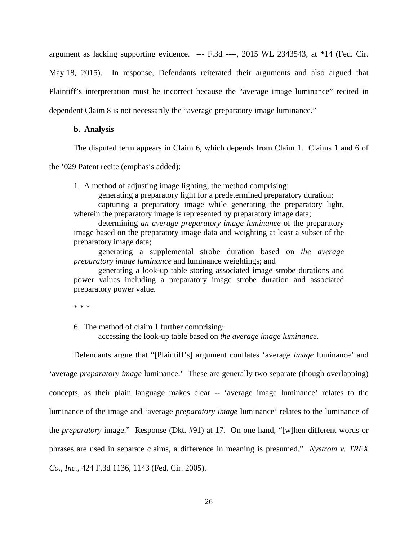argument as lacking supporting evidence. --- F.3d ----, 2015 WL 2343543, at \*14 (Fed. Cir. May 18, 2015). In response, Defendants reiterated their arguments and also argued that Plaintiff's interpretation must be incorrect because the "average image luminance" recited in dependent Claim 8 is not necessarily the "average preparatory image luminance."

#### **b. Analysis**

The disputed term appears in Claim 6, which depends from Claim 1. Claims 1 and 6 of

the '029 Patent recite (emphasis added):

1. A method of adjusting image lighting, the method comprising:

generating a preparatory light for a predetermined preparatory duration;

 capturing a preparatory image while generating the preparatory light, wherein the preparatory image is represented by preparatory image data;

 determining *an average preparatory image luminance* of the preparatory image based on the preparatory image data and weighting at least a subset of the preparatory image data;

 generating a supplemental strobe duration based on *the average preparatory image luminance* and luminance weightings; and

 generating a look-up table storing associated image strobe durations and power values including a preparatory image strobe duration and associated preparatory power value.

\* \* \*

6. The method of claim 1 further comprising:

accessing the look-up table based on *the average image luminance*.

Defendants argue that "[Plaintiff's] argument conflates 'average *image* luminance' and

'average *preparatory image* luminance.' These are generally two separate (though overlapping)

concepts, as their plain language makes clear -- 'average image luminance' relates to the

luminance of the image and 'average *preparatory image* luminance' relates to the luminance of

the *preparatory* image." Response (Dkt. #91) at 17. On one hand, "[w]hen different words or

phrases are used in separate claims, a difference in meaning is presumed." *Nystrom v. TREX* 

*Co., Inc.*, 424 F.3d 1136, 1143 (Fed. Cir. 2005).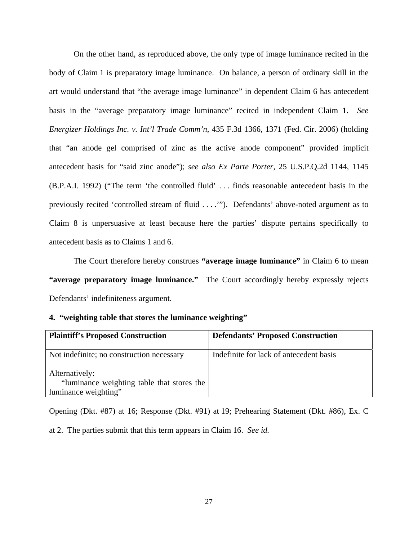On the other hand, as reproduced above, the only type of image luminance recited in the body of Claim 1 is preparatory image luminance. On balance, a person of ordinary skill in the art would understand that "the average image luminance" in dependent Claim 6 has antecedent basis in the "average preparatory image luminance" recited in independent Claim 1. *See Energizer Holdings Inc. v. Int'l Trade Comm'n*, 435 F.3d 1366, 1371 (Fed. Cir. 2006) (holding that "an anode gel comprised of zinc as the active anode component" provided implicit antecedent basis for "said zinc anode"); *see also Ex Parte Porter*, 25 U.S.P.Q.2d 1144, 1145 (B.P.A.I. 1992) ("The term 'the controlled fluid' . . . finds reasonable antecedent basis in the previously recited 'controlled stream of fluid . . . .'"). Defendants' above-noted argument as to Claim 8 is unpersuasive at least because here the parties' dispute pertains specifically to antecedent basis as to Claims 1 and 6.

 The Court therefore hereby construes **"average image luminance"** in Claim 6 to mean **"average preparatory image luminance."** The Court accordingly hereby expressly rejects Defendants' indefiniteness argument.

### **4. "weighting table that stores the luminance weighting"**

| <b>Plaintiff's Proposed Construction</b>                                             | <b>Defendants' Proposed Construction</b> |
|--------------------------------------------------------------------------------------|------------------------------------------|
| Not indefinite; no construction necessary                                            | Indefinite for lack of antecedent basis  |
| Alternatively:<br>"luminance weighting table that stores the<br>luminance weighting" |                                          |

Opening (Dkt. #87) at 16; Response (Dkt. #91) at 19; Prehearing Statement (Dkt. #86), Ex. C

at 2. The parties submit that this term appears in Claim 16. *See id.*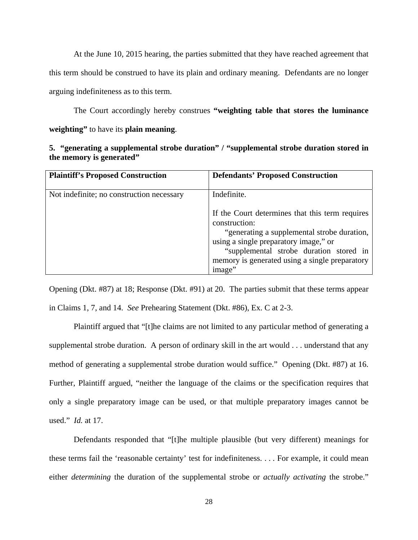At the June 10, 2015 hearing, the parties submitted that they have reached agreement that this term should be construed to have its plain and ordinary meaning. Defendants are no longer arguing indefiniteness as to this term.

 The Court accordingly hereby construes **"weighting table that stores the luminance weighting"** to have its **plain meaning**.

| 5. "generating a supplemental strobe duration" / "supplemental strobe duration stored in |
|------------------------------------------------------------------------------------------|
| the memory is generated"                                                                 |

| <b>Plaintiff's Proposed Construction</b>  | <b>Defendants' Proposed Construction</b>                                                                                                                                                                                                                        |
|-------------------------------------------|-----------------------------------------------------------------------------------------------------------------------------------------------------------------------------------------------------------------------------------------------------------------|
| Not indefinite; no construction necessary | Indefinite.                                                                                                                                                                                                                                                     |
|                                           | If the Court determines that this term requires<br>construction:<br>"generating a supplemental strobe duration,<br>using a single preparatory image," or<br>"supplemental strobe duration stored in<br>memory is generated using a single preparatory<br>image" |

Opening (Dkt. #87) at 18; Response (Dkt. #91) at 20. The parties submit that these terms appear in Claims 1, 7, and 14. *See* Prehearing Statement (Dkt. #86), Ex. C at 2-3.

Plaintiff argued that "[t]he claims are not limited to any particular method of generating a supplemental strobe duration. A person of ordinary skill in the art would . . . understand that any method of generating a supplemental strobe duration would suffice." Opening (Dkt. #87) at 16. Further, Plaintiff argued, "neither the language of the claims or the specification requires that only a single preparatory image can be used, or that multiple preparatory images cannot be used." *Id.* at 17.

 Defendants responded that "[t]he multiple plausible (but very different) meanings for these terms fail the 'reasonable certainty' test for indefiniteness. . . . For example, it could mean either *determining* the duration of the supplemental strobe or *actually activating* the strobe."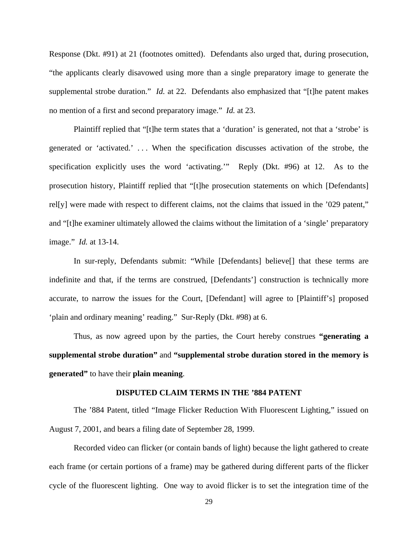Response (Dkt. #91) at 21 (footnotes omitted). Defendants also urged that, during prosecution, "the applicants clearly disavowed using more than a single preparatory image to generate the supplemental strobe duration." *Id.* at 22. Defendants also emphasized that "[t]he patent makes no mention of a first and second preparatory image." *Id.* at 23.

 Plaintiff replied that "[t]he term states that a 'duration' is generated, not that a 'strobe' is generated or 'activated.' . . . When the specification discusses activation of the strobe, the specification explicitly uses the word 'activating.'" Reply (Dkt. #96) at 12. As to the prosecution history, Plaintiff replied that "[t]he prosecution statements on which [Defendants] rel[y] were made with respect to different claims, not the claims that issued in the '029 patent," and "[t]he examiner ultimately allowed the claims without the limitation of a 'single' preparatory image." *Id.* at 13-14.

 In sur-reply, Defendants submit: "While [Defendants] believe[] that these terms are indefinite and that, if the terms are construed, [Defendants'] construction is technically more accurate, to narrow the issues for the Court, [Defendant] will agree to [Plaintiff's] proposed 'plain and ordinary meaning' reading." Sur-Reply (Dkt. #98) at 6.

 Thus, as now agreed upon by the parties, the Court hereby construes **"generating a supplemental strobe duration"** and **"supplemental strobe duration stored in the memory is generated"** to have their **plain meaning**.

#### **DISPUTED CLAIM TERMS IN THE '884 PATENT**

 The '884 Patent, titled "Image Flicker Reduction With Fluorescent Lighting," issued on August 7, 2001, and bears a filing date of September 28, 1999.

 Recorded video can flicker (or contain bands of light) because the light gathered to create each frame (or certain portions of a frame) may be gathered during different parts of the flicker cycle of the fluorescent lighting. One way to avoid flicker is to set the integration time of the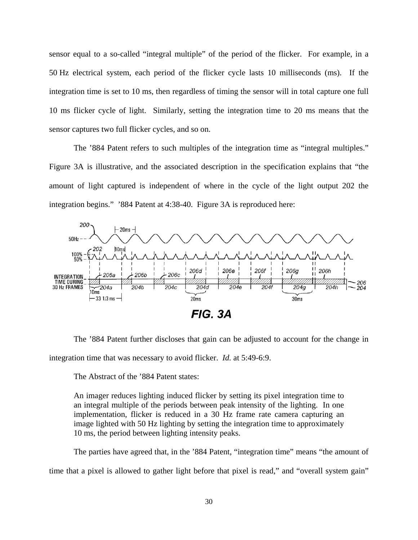sensor equal to a so-called "integral multiple" of the period of the flicker. For example, in a 50 Hz electrical system, each period of the flicker cycle lasts 10 milliseconds (ms). If the integration time is set to 10 ms, then regardless of timing the sensor will in total capture one full 10 ms flicker cycle of light. Similarly, setting the integration time to 20 ms means that the sensor captures two full flicker cycles, and so on.

 The '884 Patent refers to such multiples of the integration time as "integral multiples." Figure 3A is illustrative, and the associated description in the specification explains that "the amount of light captured is independent of where in the cycle of the light output 202 the integration begins." '884 Patent at 4:38-40. Figure 3A is reproduced here:



 The '884 Patent further discloses that gain can be adjusted to account for the change in integration time that was necessary to avoid flicker. *Id.* at 5:49-6:9.

The Abstract of the '884 Patent states:

An imager reduces lighting induced flicker by setting its pixel integration time to an integral multiple of the periods between peak intensity of the lighting. In one implementation, flicker is reduced in a 30 Hz frame rate camera capturing an image lighted with 50 Hz lighting by setting the integration time to approximately 10 ms, the period between lighting intensity peaks.

 The parties have agreed that, in the '884 Patent, "integration time" means "the amount of time that a pixel is allowed to gather light before that pixel is read," and "overall system gain"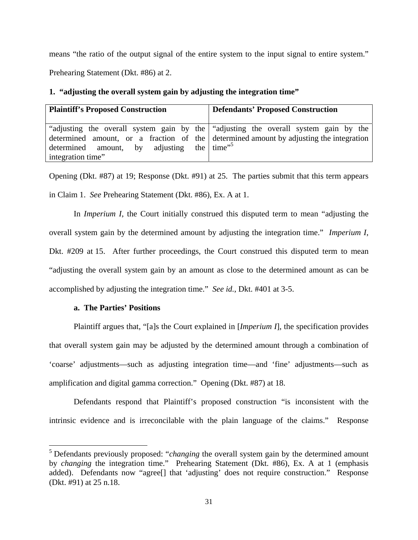means "the ratio of the output signal of the entire system to the input signal to entire system."

Prehearing Statement (Dkt. #86) at 2.

| <b>Plaintiff's Proposed Construction</b>  | <b>Defendants' Proposed Construction</b>                                               |
|-------------------------------------------|----------------------------------------------------------------------------------------|
| determined amount, by adjusting the time" | "adjusting the overall system gain by the "adjusting the overall system gain by the    |
| integration time"                         | determined amount, or a fraction of the determined amount by adjusting the integration |

# **1. "adjusting the overall system gain by adjusting the integration time"**

Opening (Dkt. #87) at 19; Response (Dkt. #91) at 25. The parties submit that this term appears in Claim 1. *See* Prehearing Statement (Dkt. #86), Ex. A at 1.

In *Imperium I*, the Court initially construed this disputed term to mean "adjusting the overall system gain by the determined amount by adjusting the integration time." *Imperium I*, Dkt. #209 at 15. After further proceedings, the Court construed this disputed term to mean "adjusting the overall system gain by an amount as close to the determined amount as can be accomplished by adjusting the integration time." *See id.*, Dkt. #401 at 3-5.

# **a. The Parties' Positions**

<u>.</u>

 Plaintiff argues that, "[a]s the Court explained in [*Imperium I*], the specification provides that overall system gain may be adjusted by the determined amount through a combination of 'coarse' adjustments—such as adjusting integration time—and 'fine' adjustments—such as amplification and digital gamma correction." Opening (Dkt. #87) at 18.

 Defendants respond that Plaintiff's proposed construction "is inconsistent with the intrinsic evidence and is irreconcilable with the plain language of the claims." Response

<sup>&</sup>lt;sup>5</sup> Defendants previously proposed: "*changing* the overall system gain by the determined amount by *changing* the integration time." Prehearing Statement (Dkt. #86), Ex. A at 1 (emphasis added). Defendants now "agree<sup>[]</sup> that 'adjusting' does not require construction." Response (Dkt. #91) at 25 n.18.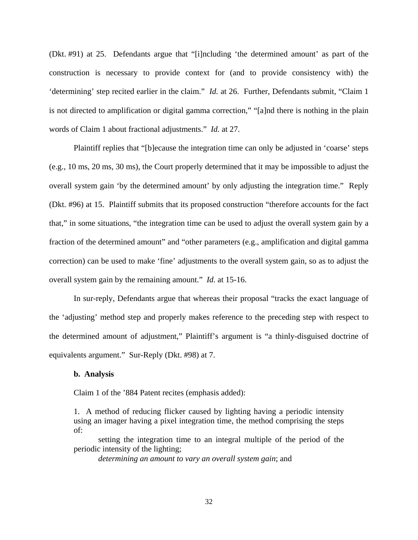(Dkt. #91) at 25. Defendants argue that "[i]ncluding 'the determined amount' as part of the construction is necessary to provide context for (and to provide consistency with) the 'determining' step recited earlier in the claim." *Id.* at 26. Further, Defendants submit, "Claim 1 is not directed to amplification or digital gamma correction," "[a]nd there is nothing in the plain words of Claim 1 about fractional adjustments." *Id.* at 27.

 Plaintiff replies that "[b]ecause the integration time can only be adjusted in 'coarse' steps (e.g., 10 ms, 20 ms, 30 ms), the Court properly determined that it may be impossible to adjust the overall system gain 'by the determined amount' by only adjusting the integration time." Reply (Dkt. #96) at 15. Plaintiff submits that its proposed construction "therefore accounts for the fact that," in some situations, "the integration time can be used to adjust the overall system gain by a fraction of the determined amount" and "other parameters (e.g., amplification and digital gamma correction) can be used to make 'fine' adjustments to the overall system gain, so as to adjust the overall system gain by the remaining amount." *Id.* at 15-16.

 In sur-reply, Defendants argue that whereas their proposal "tracks the exact language of the 'adjusting' method step and properly makes reference to the preceding step with respect to the determined amount of adjustment," Plaintiff's argument is "a thinly-disguised doctrine of equivalents argument." Sur-Reply (Dkt. #98) at 7.

#### **b. Analysis**

Claim 1 of the '884 Patent recites (emphasis added):

1. A method of reducing flicker caused by lighting having a periodic intensity using an imager having a pixel integration time, the method comprising the steps of:

setting the integration time to an integral multiple of the period of the periodic intensity of the lighting;

*determining an amount to vary an overall system gain*; and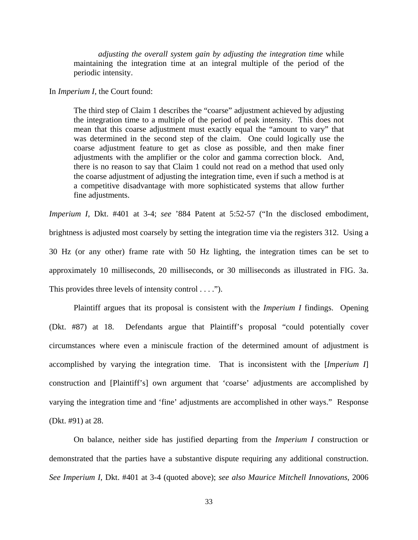*adjusting the overall system gain by adjusting the integration time* while maintaining the integration time at an integral multiple of the period of the periodic intensity.

In *Imperium I*, the Court found:

The third step of Claim 1 describes the "coarse" adjustment achieved by adjusting the integration time to a multiple of the period of peak intensity. This does not mean that this coarse adjustment must exactly equal the "amount to vary" that was determined in the second step of the claim. One could logically use the coarse adjustment feature to get as close as possible, and then make finer adjustments with the amplifier or the color and gamma correction block. And, there is no reason to say that Claim 1 could not read on a method that used only the coarse adjustment of adjusting the integration time, even if such a method is at a competitive disadvantage with more sophisticated systems that allow further fine adjustments.

*Imperium I*, Dkt. #401 at 3-4; *see* '884 Patent at 5:52-57 ("In the disclosed embodiment, brightness is adjusted most coarsely by setting the integration time via the registers 312. Using a 30 Hz (or any other) frame rate with 50 Hz lighting, the integration times can be set to approximately 10 milliseconds, 20 milliseconds, or 30 milliseconds as illustrated in FIG. 3a. This provides three levels of intensity control . . . .").

 Plaintiff argues that its proposal is consistent with the *Imperium I* findings. Opening (Dkt. #87) at 18. Defendants argue that Plaintiff's proposal "could potentially cover circumstances where even a miniscule fraction of the determined amount of adjustment is accomplished by varying the integration time. That is inconsistent with the [*Imperium I*] construction and [Plaintiff's] own argument that 'coarse' adjustments are accomplished by varying the integration time and 'fine' adjustments are accomplished in other ways." Response (Dkt. #91) at 28.

 On balance, neither side has justified departing from the *Imperium I* construction or demonstrated that the parties have a substantive dispute requiring any additional construction. *See Imperium I*, Dkt. #401 at 3-4 (quoted above); *see also Maurice Mitchell Innovations*, 2006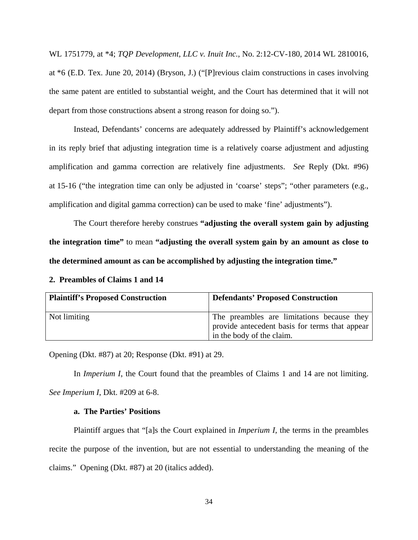WL 1751779, at \*4; *TQP Development, LLC v. Inuit Inc.*, No. 2:12-CV-180, 2014 WL 2810016, at \*6 (E.D. Tex. June 20, 2014) (Bryson, J.) ("[P]revious claim constructions in cases involving the same patent are entitled to substantial weight, and the Court has determined that it will not depart from those constructions absent a strong reason for doing so.").

 Instead, Defendants' concerns are adequately addressed by Plaintiff's acknowledgement in its reply brief that adjusting integration time is a relatively coarse adjustment and adjusting amplification and gamma correction are relatively fine adjustments. *See* Reply (Dkt. #96) at 15-16 ("the integration time can only be adjusted in 'coarse' steps"; "other parameters (e.g., amplification and digital gamma correction) can be used to make 'fine' adjustments").

 The Court therefore hereby construes **"adjusting the overall system gain by adjusting the integration time"** to mean **"adjusting the overall system gain by an amount as close to the determined amount as can be accomplished by adjusting the integration time."**

| <b>Plaintiff's Proposed Construction</b> | <b>Defendants' Proposed Construction</b>                                                                                  |
|------------------------------------------|---------------------------------------------------------------------------------------------------------------------------|
| Not limiting                             | The preambles are limitations because they<br>provide antecedent basis for terms that appear<br>in the body of the claim. |

**2. Preambles of Claims 1 and 14** 

Opening (Dkt. #87) at 20; Response (Dkt. #91) at 29.

In *Imperium I*, the Court found that the preambles of Claims 1 and 14 are not limiting. *See Imperium I*, Dkt. #209 at 6-8.

## **a. The Parties' Positions**

 Plaintiff argues that "[a]s the Court explained in *Imperium I*, the terms in the preambles recite the purpose of the invention, but are not essential to understanding the meaning of the claims." Opening (Dkt. #87) at 20 (italics added).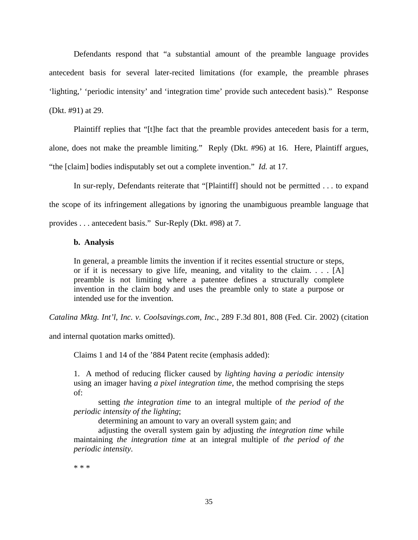Defendants respond that "a substantial amount of the preamble language provides antecedent basis for several later-recited limitations (for example, the preamble phrases 'lighting,' 'periodic intensity' and 'integration time' provide such antecedent basis)." Response (Dkt. #91) at 29.

 Plaintiff replies that "[t]he fact that the preamble provides antecedent basis for a term, alone, does not make the preamble limiting." Reply (Dkt. #96) at 16. Here, Plaintiff argues, "the [claim] bodies indisputably set out a complete invention." *Id.* at 17.

 In sur-reply, Defendants reiterate that "[Plaintiff] should not be permitted . . . to expand the scope of its infringement allegations by ignoring the unambiguous preamble language that provides . . . antecedent basis." Sur-Reply (Dkt. #98) at 7.

#### **b. Analysis**

In general, a preamble limits the invention if it recites essential structure or steps, or if it is necessary to give life, meaning, and vitality to the claim. . . . [A] preamble is not limiting where a patentee defines a structurally complete invention in the claim body and uses the preamble only to state a purpose or intended use for the invention.

*Catalina Mktg. Int'l, Inc. v. Coolsavings.com, Inc.*, 289 F.3d 801, 808 (Fed. Cir. 2002) (citation

and internal quotation marks omitted).

Claims 1 and 14 of the '884 Patent recite (emphasis added):

1. A method of reducing flicker caused by *lighting having a periodic intensity* using an imager having *a pixel integration time*, the method comprising the steps of:

setting *the integration time* to an integral multiple of *the period of the periodic intensity of the lighting*;

determining an amount to vary an overall system gain; and

adjusting the overall system gain by adjusting *the integration time* while maintaining *the integration time* at an integral multiple of *the period of the periodic intensity*.

\* \* \*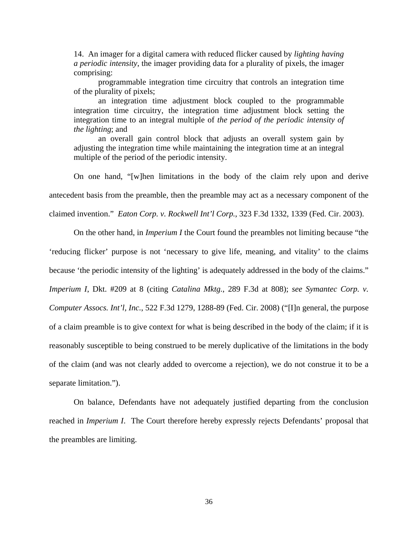14. An imager for a digital camera with reduced flicker caused by *lighting having a periodic intensity*, the imager providing data for a plurality of pixels, the imager comprising:

programmable integration time circuitry that controls an integration time of the plurality of pixels;

an integration time adjustment block coupled to the programmable integration time circuitry, the integration time adjustment block setting the integration time to an integral multiple of *the period of the periodic intensity of the lighting*; and

an overall gain control block that adjusts an overall system gain by adjusting the integration time while maintaining the integration time at an integral multiple of the period of the periodic intensity.

 On one hand, "[w]hen limitations in the body of the claim rely upon and derive antecedent basis from the preamble, then the preamble may act as a necessary component of the claimed invention." *Eaton Corp. v. Rockwell Int'l Corp.*, 323 F.3d 1332, 1339 (Fed. Cir. 2003).

 On the other hand, in *Imperium I* the Court found the preambles not limiting because "the 'reducing flicker' purpose is not 'necessary to give life, meaning, and vitality' to the claims because 'the periodic intensity of the lighting' is adequately addressed in the body of the claims." *Imperium I*, Dkt. #209 at 8 (citing *Catalina Mktg.*, 289 F.3d at 808); *see Symantec Corp. v. Computer Assocs. Int'l, Inc.*, 522 F.3d 1279, 1288-89 (Fed. Cir. 2008) ("[I]n general, the purpose of a claim preamble is to give context for what is being described in the body of the claim; if it is reasonably susceptible to being construed to be merely duplicative of the limitations in the body of the claim (and was not clearly added to overcome a rejection), we do not construe it to be a separate limitation.").

 On balance, Defendants have not adequately justified departing from the conclusion reached in *Imperium I*. The Court therefore hereby expressly rejects Defendants' proposal that the preambles are limiting.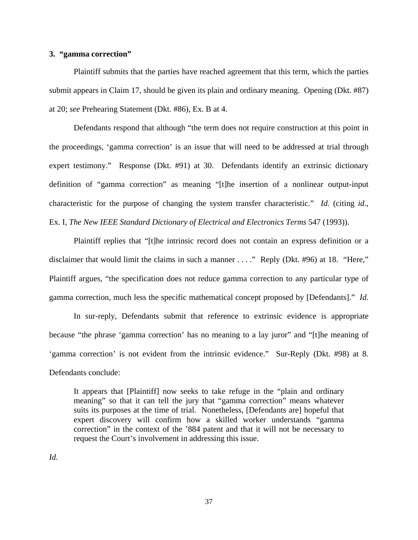### **3. "gamma correction"**

 Plaintiff submits that the parties have reached agreement that this term, which the parties submit appears in Claim 17, should be given its plain and ordinary meaning. Opening (Dkt. #87) at 20; *see* Prehearing Statement (Dkt. #86), Ex. B at 4.

 Defendants respond that although "the term does not require construction at this point in the proceedings, 'gamma correction' is an issue that will need to be addressed at trial through expert testimony." Response (Dkt. #91) at 30. Defendants identify an extrinsic dictionary definition of "gamma correction" as meaning "[t]he insertion of a nonlinear output-input characteristic for the purpose of changing the system transfer characteristic." *Id.* (citing *id.*, Ex. I, *The New IEEE Standard Dictionary of Electrical and Electronics Terms* 547 (1993)).

 Plaintiff replies that "[t]he intrinsic record does not contain an express definition or a disclaimer that would limit the claims in such a manner . . . ." Reply (Dkt. #96) at 18. "Here," Plaintiff argues, "the specification does not reduce gamma correction to any particular type of gamma correction, much less the specific mathematical concept proposed by [Defendants]." *Id.* 

 In sur-reply, Defendants submit that reference to extrinsic evidence is appropriate because "the phrase 'gamma correction' has no meaning to a lay juror" and "[t]he meaning of 'gamma correction' is not evident from the intrinsic evidence." Sur-Reply (Dkt. #98) at 8. Defendants conclude:

It appears that [Plaintiff] now seeks to take refuge in the "plain and ordinary meaning" so that it can tell the jury that "gamma correction" means whatever suits its purposes at the time of trial. Nonetheless, [Defendants are] hopeful that expert discovery will confirm how a skilled worker understands "gamma correction" in the context of the '884 patent and that it will not be necessary to request the Court's involvement in addressing this issue.

*Id.*